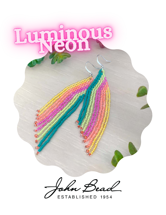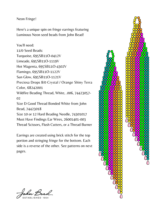## Neon Fringe!

Here's a unique spin on fringe earrings featuring Luminous Neon seed beads from John Bead!

You'll need:

11/0 Seed Beads: Turquoise, 695SB11O-0412V Limeade, 695SB11O-1119V Hot Magenta, 695SB11O-4302V Flamingo, 695SB11O-1122V Sun Glow, 695SB11O-1121V [Preciosa Drops 8/0 Crystal / Orange Shiny Terra](https://www.johnbead.com/products/682/matgami-beads-8-0-cry-orange-shiny-terra-colour) Color, 68242001 Wildfire Beading Thread, White, .006, 74423057- 02 Size D Good Thread Bonded White from John Bead, 74423018 Size 10 or 12 Hard Beading Needle, 74301017 Must Have Findings Ear Wires, 26001401-003 Thread Scissors, Flush Cutters, or a Thread Burner

Earrings are created using brick stitch for the top portion and stringing fringe for the bottom. Each side is a reverse of the other. See patterns on next pages.



John Bead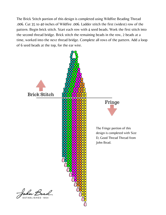The Brick Stitch portion of this design is completed using Wildfire Beading Thread .006. Cut 35 to 40 inches of Wildfire .006. Ladder stitch the first (widest) row of the pattern. Begin brick stitch. Start each row with 4 seed beads. Work the first stitch into the second thread bridge. Brick stitch the remaining beads in the row, 2 beads at a time, worked into the next thread bridge. Complete all rows of the pattern. Add a loop of 6 seed beads at the top, for the ear wire.

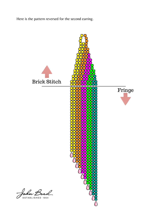Here is the pattern reversed for the second earring.



John Bead